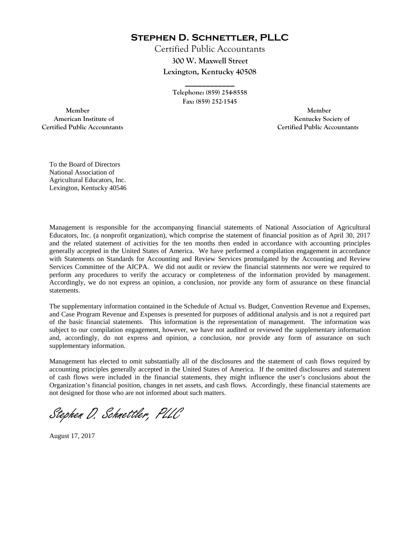**Stephen D. Schnettler, PLLC**

Certified Public Accountants **300 W. Maxwell Street Lexington, Kentucky 40508** 

> **Telephone: (859) 254-8558 Fax: (859) 252-1545**

**\_\_\_\_\_\_\_\_\_\_\_\_** 

 **Member Member Certified Public Accountants Certified Public Accountants** 

American Institute of **Kentucky Society of American Institute of** 

To the Board of Directors National Association of Agricultural Educators, Inc. Lexington, Kentucky 40546

Management is responsible for the accompanying financial statements of National Association of Agricultural Educators, Inc. (a nonprofit organization), which comprise the statement of financial position as of April 30, 2017 and the related statement of activities for the ten months then ended in accordance with accounting principles generally accepted in the United States of America. We have performed a compilation engagement in accordance with Statements on Standards for Accounting and Review Services promulgated by the Accounting and Review Services Committee of the AICPA. We did not audit or review the financial statements nor were we required to perform any procedures to verify the accuracy or completeness of the information provided by management. Accordingly, we do not express an opinion, a conclusion, nor provide any form of assurance on these financial statements.

The supplementary information contained in the Schedule of Actual vs. Budget, Convention Revenue and Expenses, and Case Program Revenue and Expenses is presented for purposes of additional analysis and is not a required part of the basic financial statements. This information is the representation of management. The information was subject to our compilation engagement, however, we have not audited or reviewed the supplementary information and, accordingly, do not express and opinion, a conclusion, nor provide any form of assurance on such supplementary information.

Management has elected to omit substantially all of the disclosures and the statement of cash flows required by accounting principles generally accepted in the United States of America. If the omitted disclosures and statement of cash flows were included in the financial statements, they might influence the user's conclusions about the Organization's financial position, changes in net assets, and cash flows. Accordingly, these financial statements are not designed for those who are not informed about such matters.

Stephen D. Schnettler, PLLC

August 17, 2017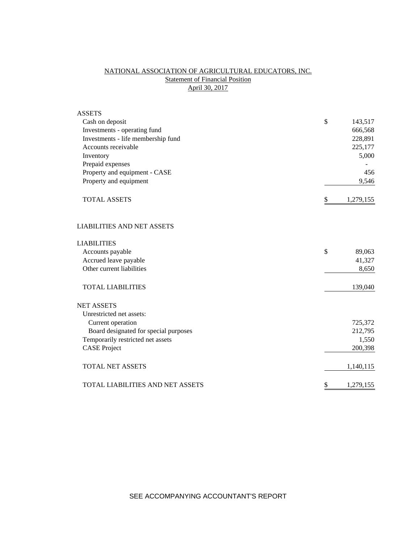## NATIONAL ASSOCIATION OF AGRICULTURAL EDUCATORS, INC. **Statement of Financial Position** April 30, 2017

| <b>ASSETS</b>                           |                 |
|-----------------------------------------|-----------------|
| Cash on deposit                         | \$<br>143,517   |
| Investments - operating fund            | 666,568         |
| Investments - life membership fund      | 228,891         |
| Accounts receivable                     | 225,177         |
| Inventory                               | 5,000           |
| Prepaid expenses                        |                 |
| Property and equipment - CASE           | 456             |
| Property and equipment                  | 9,546           |
| <b>TOTAL ASSETS</b>                     | \$<br>1,279,155 |
| <b>LIABILITIES AND NET ASSETS</b>       |                 |
| <b>LIABILITIES</b>                      |                 |
| Accounts payable                        | \$<br>89,063    |
| Accrued leave payable                   | 41,327          |
| Other current liabilities               | 8,650           |
| <b>TOTAL LIABILITIES</b>                | 139,040         |
| <b>NET ASSETS</b>                       |                 |
| Unrestricted net assets:                |                 |
| Current operation                       | 725,372         |
| Board designated for special purposes   | 212,795         |
| Temporarily restricted net assets       | 1,550           |
| <b>CASE Project</b>                     | 200,398         |
| <b>TOTAL NET ASSETS</b>                 | 1,140,115       |
| <b>TOTAL LIABILITIES AND NET ASSETS</b> | \$<br>1,279,155 |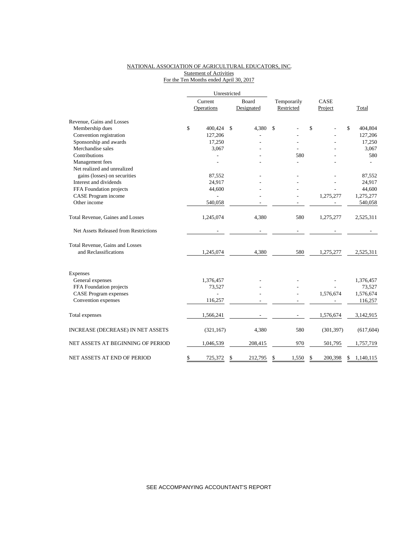### NATIONAL ASSOCIATION OF AGRICULTURAL EDUCATORS, INC. **Statement of Activities** For the Ten Months ended April 30, 2017

|                                       | Current |            | Board         | Temporarily | CASE          |              |            |
|---------------------------------------|---------|------------|---------------|-------------|---------------|--------------|------------|
|                                       |         | Operations | Designated    | Restricted  | Project       |              | Total      |
| Revenue, Gains and Losses             |         |            |               |             |               |              |            |
| Membership dues                       | \$      | 400,424    | \$<br>4,380   | \$          | \$            | $\mathbb{S}$ | 404,804    |
| Convention registration               |         | 127,206    |               |             |               |              | 127,206    |
| Sponsorship and awards                |         | 17,250     |               |             |               |              | 17,250     |
| Merchandise sales                     |         | 3,067      |               |             |               |              | 3,067      |
| Contributions                         |         |            |               | 580         |               |              | 580        |
| Management fees                       |         |            |               |             |               |              |            |
| Net realized and unrealized           |         |            |               |             |               |              |            |
| gains (losses) on securities          |         | 87,552     |               |             |               |              | 87,552     |
| Interest and dividends                |         | 24,917     |               |             |               |              | 24,917     |
| FFA Foundation projects               |         | 44,600     |               |             |               |              | 44,600     |
| CASE Program income                   |         |            |               |             | 1,275,277     |              | 1,275,277  |
| Other income                          |         | 540,058    |               |             |               |              | 540,058    |
| Total Revenue, Gaines and Losses      |         | 1,245,074  | 4,380         | 580         | 1,275,277     |              | 2,525,311  |
| Net Assets Released from Restrictions |         |            |               |             |               |              |            |
| Total Revenue, Gains and Losses       |         |            |               |             |               |              |            |
| and Reclassifications                 |         | 1,245,074  | 4,380         | 580         | 1,275,277     |              | 2,525,311  |
| Expenses                              |         |            |               |             |               |              |            |
| General expenses                      |         | 1,376,457  |               |             |               |              | 1,376,457  |
| FFA Foundation projects               |         | 73,527     |               |             |               |              | 73,527     |
| <b>CASE Program expenses</b>          |         |            |               |             | 1,576,674     |              | 1,576,674  |
| Convention expenses                   |         | 116,257    |               |             |               |              | 116,257    |
| Total expenses                        |         | 1,566,241  |               |             | 1,576,674     |              | 3,142,915  |
| INCREASE (DECREASE) IN NET ASSETS     |         | (321, 167) | 4,380         | 580         | (301, 397)    |              | (617, 604) |
| NET ASSETS AT BEGINNING OF PERIOD     |         | 1,046,539  | 208,415       | 970         | 501,795       |              | 1,757,719  |
| NET ASSETS AT END OF PERIOD           | \$      | 725,372    | \$<br>212,795 | \$<br>1,550 | \$<br>200,398 | \$           | 1,140,115  |

SEE ACCOMPANYING ACCOUNTANT'S REPORT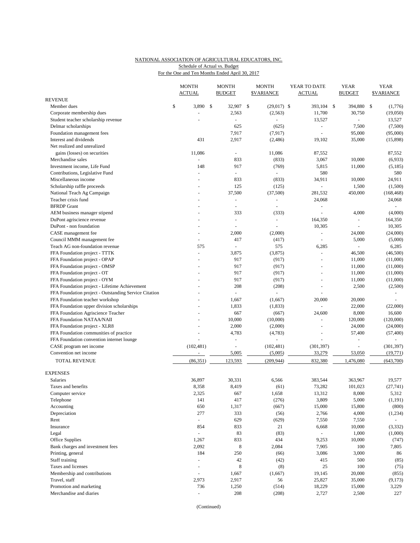# NATIONAL ASSOCIATION OF AGRICULTURAL EDUCATORS, INC. Schedule of Actual vs. Budget

|  | For the One and Ten Months Ended April 30, 2017 |  |  |  |
|--|-------------------------------------------------|--|--|--|
|--|-------------------------------------------------|--|--|--|

|                                                                         |    | <b>MONTH</b><br><b>ACTUAL</b> |    | <b>MONTH</b><br><b>BUDGET</b> | <b>MONTH</b><br><b>\$VARIANCE</b> | YEAR TO DATE<br><b>ACTUAL</b>    |  | <b>YEAR</b><br><b>BUDGET</b> | <b>YEAR</b><br><b><i>SVARIANCE</i></b> |  |
|-------------------------------------------------------------------------|----|-------------------------------|----|-------------------------------|-----------------------------------|----------------------------------|--|------------------------------|----------------------------------------|--|
| <b>REVENUE</b>                                                          |    |                               |    |                               |                                   |                                  |  |                              |                                        |  |
| Member dues                                                             | \$ | 3,890                         | \$ | 32,907                        | \$<br>$(29,017)$ \$               | 393,104                          |  | 394,880<br>-S                | \$<br>(1,776)                          |  |
| Corporate membership dues                                               |    | $\blacksquare$                |    | 2,563                         | (2, 563)                          | 11,700                           |  | 30,750                       | (19,050)                               |  |
| Student teacher scholarship revenue                                     |    |                               |    |                               |                                   | 13,527                           |  | ÷.                           | 13,527                                 |  |
| Delmar scholarships                                                     |    |                               |    | 625                           | (625)                             | $\overline{\phantom{a}}$         |  | 7,500                        | (7,500)                                |  |
| Foundation management fees                                              |    |                               |    | 7,917                         | (7, 917)                          | L.                               |  | 95,000                       | (95,000)                               |  |
| Interest and dividends                                                  |    | 431                           |    | 2,917                         | (2,486)                           | 19,102                           |  | 35,000                       | (15,898)                               |  |
| Net realized and unrealized                                             |    |                               |    |                               |                                   |                                  |  |                              |                                        |  |
| gains (losses) on securities                                            |    | 11,086                        |    | ÷.                            | 11,086                            | 87,552                           |  |                              | 87,552                                 |  |
| Merchandise sales                                                       |    | $\overline{\phantom{a}}$      |    | 833                           | (833)                             | 3,067                            |  | 10,000                       | (6,933)                                |  |
| Investment income, Life Fund                                            |    | 148                           |    | 917                           | (769)                             | 5,815                            |  | 11,000                       | (5, 185)                               |  |
| Contributions, Legislative Fund                                         |    | ÷,                            |    | ÷.                            | $\sim$                            | 580                              |  |                              | 580                                    |  |
| Miscellaneous income                                                    |    |                               |    | 833                           | (833)                             | 34,911                           |  | 10,000                       | 24,911                                 |  |
| Scholarship raffle proceeds                                             |    | $\blacksquare$                |    | 125                           | (125)                             |                                  |  | 1,500                        | (1,500)                                |  |
| National Teach Ag Campaign                                              |    |                               |    | 37,500                        | (37,500)                          | 281,532                          |  | 450,000                      | (168, 468)                             |  |
| Teacher crisis fund                                                     |    | $\ddot{}$                     |    | ÷.                            | $\blacksquare$                    | 24,068                           |  |                              | 24,068                                 |  |
| <b>BFRDP</b> Grant                                                      |    |                               |    |                               | $\overline{a}$                    | $\sim$                           |  |                              | $\sim$                                 |  |
| AEM business manager stipend                                            |    |                               |    | 333                           | (333)                             | ÷,                               |  | 4,000                        | (4,000)                                |  |
| DuPont agriscience revenue                                              |    |                               |    | $\sim$                        | $\overline{\phantom{a}}$          | 164,350                          |  | $\omega$                     | 164,350                                |  |
| DuPont - non foundation                                                 |    | ÷                             |    | ÷                             | $\sim$                            | 10,305                           |  | L.                           | 10,305                                 |  |
| CASE management fee                                                     |    |                               |    | 2,000                         | (2,000)                           | $\sim$                           |  | 24,000                       | (24,000)                               |  |
| Council MMM management fee                                              |    | ÷,                            |    | 417                           | (417)                             | $\bar{\phantom{a}}$              |  | 5,000                        | (5,000)                                |  |
| Teach AG non-foundation revenue                                         |    | 575                           |    | ÷,                            | 575                               | 6,285                            |  | ÷,                           | 6,285                                  |  |
| FFA Foundation project - TTTK                                           |    | $\overline{a}$                |    | 3,875                         | (3,875)                           | $\omega$                         |  | 46,500                       | (46,500)                               |  |
| FFA Foundation project - OPAP                                           |    |                               |    | 917                           | (917)                             |                                  |  | 11,000                       | (11,000)                               |  |
| FFA Foundation project - OMSP                                           |    |                               |    | 917                           | (917)                             | $\overline{a}$                   |  | 11,000                       | (11,000)                               |  |
| FFA Foundation project - OT                                             |    |                               |    | 917                           | (917)                             |                                  |  | 11,000                       | (11,000)                               |  |
| FFA Foundation project - OYM                                            |    |                               |    | 917                           | (917)                             | $\overline{a}$                   |  | 11,000                       | (11,000)                               |  |
| FFA Foundation project - Lifetime Achievement                           |    |                               |    | 208                           | (208)                             |                                  |  | 2,500                        | (2,500)                                |  |
| FFA Foundation project - Outstanding Service Citation                   |    |                               |    |                               |                                   |                                  |  |                              | $\sim$                                 |  |
| FFA Foundation teacher workshop                                         |    |                               |    | 1,667                         | (1,667)                           | 20,000                           |  | 20,000                       |                                        |  |
| FFA Foundation upper division scholarships                              |    |                               |    | 1,833                         | (1,833)                           | $\omega$                         |  | 22,000                       | (22,000)                               |  |
| FFA Foundation Agriscience Teacher                                      |    |                               |    | 667                           | (667)                             | 24,600                           |  | 8,000                        | 16,600                                 |  |
| FFA Foundation NATAA/NAII                                               |    |                               |    | 10,000                        | (10,000)                          | $\overline{\phantom{a}}$         |  | 120,000                      | (120,000)                              |  |
| FFA Foundation project - XLR8<br>FFA Foundation communities of practice |    |                               |    | 2,000<br>4,783                | (2,000)<br>(4,783)                | $\blacksquare$<br>$\overline{a}$ |  | 24,000<br>57,400             | (24,000)<br>(57, 400)                  |  |
| FFA Foundation convention internet lounge                               |    | ÷,                            |    | $\overline{\phantom{a}}$      |                                   | $\blacksquare$                   |  | ÷,                           |                                        |  |
| CASE program net income                                                 |    | (102, 481)                    |    | $\overline{\phantom{a}}$      | (102, 481)                        | (301, 397)                       |  |                              | (301, 397)                             |  |
| Convention net income                                                   |    | ÷,                            |    | 5,005                         | (5,005)                           | 33,279                           |  | 53,050                       | (19, 771)                              |  |
|                                                                         |    |                               |    |                               |                                   |                                  |  |                              |                                        |  |
| TOTAL REVENUE                                                           |    | (86, 351)                     |    | 123,593                       | (209, 944)                        | 832,380                          |  | 1,476,080                    | (643,700)                              |  |
| <b>EXPENSES</b>                                                         |    |                               |    |                               |                                   |                                  |  |                              |                                        |  |
| <b>Salaries</b>                                                         |    | 36,897                        |    | 30,331                        | 6,566                             | 383,544                          |  | 363,967                      | 19,577                                 |  |
| Taxes and benefits                                                      |    | 8,358                         |    | 8,419                         | (61)                              | 73,282                           |  | 101,023                      | (27, 741)                              |  |
| Computer service                                                        |    | 2,325                         |    | 667                           | 1,658                             | 13,312                           |  | 8,000                        | 5,312                                  |  |
| Telephone                                                               |    | 141                           |    | 417                           | (276)                             | 3,809                            |  | 5,000                        | (1, 191)                               |  |
| Accounting                                                              |    | 650                           |    | 1,317                         | (667)                             | 15,000                           |  | 15,800                       | (800)                                  |  |
| Depreciation                                                            |    | 277                           |    | 333                           | (56)                              | 2,766                            |  | 4,000                        | (1,234)                                |  |
| Rent                                                                    |    | $\blacksquare$                |    | 629                           | (629)                             | 7,550                            |  | 7,550                        | $\omega$                               |  |
| Insurance                                                               |    | 854                           |    | 833                           | 21                                | 6,668                            |  | 10,000                       | (3, 332)                               |  |
| Legal                                                                   |    | $\overline{a}$                |    | 83                            | (83)                              | $\omega$                         |  | 1,000                        | (1,000)                                |  |
| Office Supplies                                                         |    | 1,267                         |    | 833                           | 434                               | 9,253                            |  | 10,000                       | (747)                                  |  |
| Bank charges and investment fees                                        |    | 2,092                         |    | 8                             | 2,084                             | 7,905                            |  | 100                          | 7,805                                  |  |
| Printing, general                                                       |    | 184                           |    | 250                           | (66)                              | 3,086                            |  | 3,000                        | 86                                     |  |
| Staff training                                                          |    | ÷,                            |    | 42                            | (42)                              | 415                              |  | 500                          | (85)                                   |  |
| Taxes and licenses                                                      |    | $\sim$                        |    | 8                             | (8)                               | 25                               |  | 100                          | (75)                                   |  |
| Membership and contributions                                            |    | $\sim$                        |    | 1,667                         | (1,667)                           | 19,145                           |  | 20,000                       | (855)                                  |  |
| Travel, staff                                                           |    | 2,973                         |    | 2,917                         | 56                                | 25,827                           |  | 35,000                       | (9,173)                                |  |
| Promotion and marketing                                                 |    | 736                           |    | 1,250                         | (514)                             | 18,229                           |  | 15,000                       | 3,229                                  |  |
| Merchandise and diaries                                                 |    | ÷,                            |    | 208                           | (208)                             | 2,727                            |  | 2,500                        | 227                                    |  |

(Continued)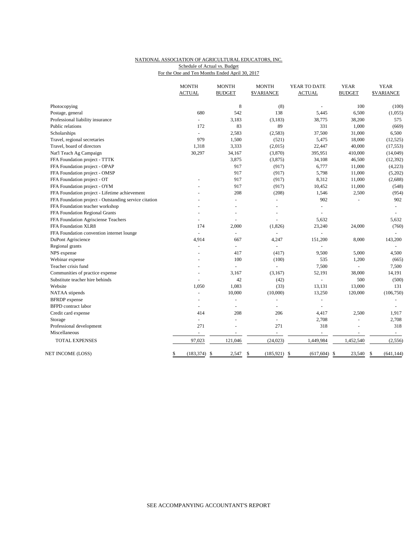## NATIONAL ASSOCIATION OF AGRICULTURAL EDUCATORS, INC. Schedule of Actual vs. Budget

For the One and Ten Months Ended April 30, 2017

|                                                       | <b>MONTH</b><br><b>ACTUAL</b> | <b>MONTH</b><br><b>BUDGET</b> | <b>MONTH</b><br><b>\$VARIANCE</b> | YEAR TO DATE<br><b>ACTUAL</b> | <b>YEAR</b><br><b>BUDGET</b> | <b>YEAR</b><br><b>\$VARIANCE</b> |
|-------------------------------------------------------|-------------------------------|-------------------------------|-----------------------------------|-------------------------------|------------------------------|----------------------------------|
| Photocopying                                          |                               | 8                             | (8)                               |                               | 100                          | (100)                            |
| Postage, general                                      | 680                           | 542                           | 138                               | 5,445                         | 6,500                        | (1,055)                          |
| Professional liability insurance                      | ä,                            | 3,183                         | (3, 183)                          | 38,775                        | 38,200                       | 575                              |
| Public relations                                      | 172                           | 83                            | 89                                | 331                           | 1,000                        | (669)                            |
| Scholarships                                          | $\blacksquare$                | 2,583                         | (2, 583)                          | 37,500                        | 31,000                       | 6,500                            |
| Travel, regional secretaries                          | 979                           | 1,500                         | (521)                             | 5,475                         | 18,000                       | (12, 525)                        |
| Travel, board of directors                            | 1,318                         | 3,333                         | (2,015)                           | 22,447                        | 40,000                       | (17, 553)                        |
| Nat'l Teach Ag Campaign                               | 30,297                        | 34,167                        | (3,870)                           | 395,951                       | 410,000                      | (14,049)                         |
| FFA Foundation project - TTTK                         |                               | 3,875                         | (3,875)                           | 34,108                        | 46,500                       | (12, 392)                        |
| FFA Foundation project - OPAP                         |                               | 917                           | (917)                             | 6,777                         | 11,000                       | (4,223)                          |
| FFA Foundation project - OMSP                         |                               | 917                           | (917)                             | 5,798                         | 11,000                       | (5,202)                          |
| FFA Foundation project - OT                           |                               | 917                           | (917)                             | 8,312                         | 11,000                       | (2,688)                          |
| FFA Foundation project - OYM                          |                               | 917                           | (917)                             | 10,452                        | 11,000                       | (548)                            |
| FFA Foundation project - Lifetime achievement         |                               | 208                           | (208)                             | 1,546                         | 2,500                        | (954)                            |
| FFA Foundation project - Outstanding service citation |                               | $\overline{a}$                | $\sim$                            | 902                           |                              | 902                              |
| FFA Foundation teacher workshop                       |                               |                               |                                   |                               |                              |                                  |
| FFA Foundation Regional Grants                        |                               |                               |                                   | L.                            |                              |                                  |
| FFA Foundation Agrisciense Teachers                   |                               | L.                            |                                   | 5,632                         |                              | 5,632                            |
| FFA Foundation XLR8                                   | 174                           | 2,000                         | (1, 826)                          | 23,240                        | 24,000                       | (760)                            |
| FFA Foundation convention internet lounge             | $\blacksquare$                | $\blacksquare$                | $\overline{a}$                    | ٠                             |                              |                                  |
| DuPont Agriscience                                    | 4,914                         | 667                           | 4,247                             | 151,200                       | 8,000                        | 143,200                          |
| Regional grants                                       | ä,                            | $\blacksquare$                |                                   | L.                            |                              |                                  |
| NPS expense                                           |                               | 417                           | (417)                             | 9,500                         | 5,000                        | 4,500                            |
| Webinar expense                                       |                               | 100                           | (100)                             | 535                           | 1,200                        | (665)                            |
| Teacher crisis fund                                   |                               | L.                            | $\overline{a}$                    | 7,500                         | L.                           | 7,500                            |
| Communities of practice expense                       |                               | 3,167                         | (3,167)                           | 52,191                        | 38,000                       | 14,191                           |
| Substitute teacher hire behinds                       | L.                            | 42                            | (42)                              | $\overline{a}$                | 500                          | (500)                            |
| Website                                               | 1,050                         | 1,083                         | (33)                              | 13,131                        | 13,000                       | 131                              |
| NATAA stipends                                        |                               | 10,000                        | (10,000)                          | 13,250                        | 120,000                      | (106, 750)                       |
| <b>BFRDP</b> expense                                  |                               | ÷,                            |                                   | $\sim$                        |                              |                                  |
| <b>BFPD</b> contract labor                            |                               |                               |                                   |                               |                              |                                  |
| Credit card expense                                   | 414                           | 208                           | 206                               | 4,417                         | 2,500                        | 1,917                            |
| Storage                                               | $\omega$                      | ÷,                            | $\bar{\phantom{a}}$               | 2,708                         | ÷,                           | 2,708                            |
| Professional development                              | 271                           |                               | 271                               | 318                           | ٠                            | 318                              |
| Miscellaneous                                         | ÷                             |                               | ÷.                                | $\sim$                        | $\overline{\phantom{a}}$     | $\sim$                           |
| <b>TOTAL EXPENSES</b>                                 | 97,023                        | 121,046                       | (24, 023)                         | 1,449,984                     | 1,452,540                    | (2,556)                          |
| NET INCOME (LOSS)                                     | (183, 374)<br>\$              | $\mathcal{S}$<br>2,547        | \$<br>(185, 921)                  | $\mathcal{S}$<br>(617, 604)   | $\mathbb{S}$<br>23,540       | (641, 144)<br>\$                 |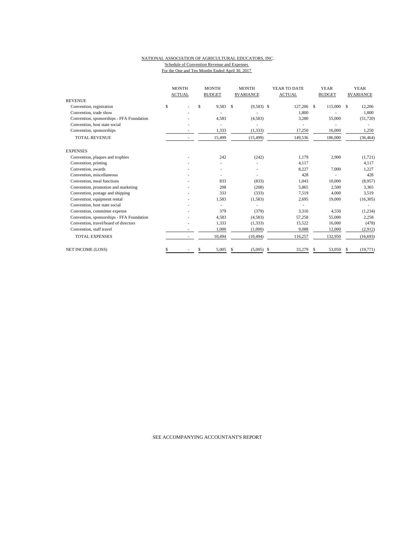### NATIONAL ASSOCIATION OF AGRICULTURAL EDUCATORS, INC. Schedule of Convention Revenue and Expenses For the One and Ten Months Ended April 30, 2017

|                                           | <b>MONTH</b><br><b>ACTUAL</b> |  | <b>MONTH</b><br><b>BUDGET</b> |        | <b>MONTH</b><br><b>SVARIANCE</b> |              | YEAR TO DATE<br><b>ACTUAL</b> |         | <b>YEAR</b><br><b>BUDGET</b> |         | <b>YEAR</b><br><b>SVARIANCE</b> |           |
|-------------------------------------------|-------------------------------|--|-------------------------------|--------|----------------------------------|--------------|-------------------------------|---------|------------------------------|---------|---------------------------------|-----------|
| <b>REVENUE</b>                            |                               |  |                               |        |                                  |              |                               |         |                              |         |                                 |           |
| Convention, registration                  | \$                            |  | \$                            | 9,583  | <sup>\$</sup>                    | $(9,583)$ \$ |                               | 127,206 | \$.                          | 115,000 | S.                              | 12,206    |
| Convention, trade show                    |                               |  |                               |        |                                  |              |                               | 1.800   |                              |         |                                 | 1,800     |
| Convention, sponsorships - FFA Foundation |                               |  |                               | 4,583  |                                  | (4,583)      |                               | 3,280   |                              | 55,000  |                                 | (51, 720) |
| Convention, host state social             |                               |  |                               |        |                                  |              |                               |         |                              |         |                                 |           |
| Convention, sponsorships                  |                               |  |                               | 1,333  |                                  | (1, 333)     |                               | 17,250  |                              | 16,000  |                                 | 1,250     |
| <b>TOTAL REVENUE</b>                      |                               |  |                               | 15,499 |                                  | (15, 499)    |                               | 149,536 |                              | 186,000 |                                 | (36, 464) |
| <b>EXPENSES</b>                           |                               |  |                               |        |                                  |              |                               |         |                              |         |                                 |           |
| Convention, plaques and trophies          |                               |  |                               | 242    |                                  | (242)        |                               | 1,179   |                              | 2,900   |                                 | (1, 721)  |
| Convention, printing                      |                               |  |                               |        |                                  |              |                               | 4,117   |                              |         |                                 | 4,117     |
| Convention, awards                        |                               |  |                               |        |                                  |              |                               | 8,227   |                              | 7,000   |                                 | 1,227     |
| Convention, miscellaneous                 |                               |  |                               |        |                                  |              |                               | 428     |                              |         |                                 | 428       |
| Convention, meal functions                |                               |  |                               | 833    |                                  | (833)        |                               | 1,043   |                              | 10,000  |                                 | (8,957)   |
| Convention, promotion and marketing       |                               |  |                               | 208    |                                  | (208)        |                               | 5,865   |                              | 2,500   |                                 | 3,365     |
| Convention, postage and shipping          |                               |  |                               | 333    |                                  | (333)        |                               | 7,519   |                              | 4,000   |                                 | 3,519     |
| Convention, equipment rental              |                               |  |                               | 1,583  |                                  | (1,583)      |                               | 2,695   |                              | 19,000  |                                 | (16,305)  |
| Convention, host state social             |                               |  |                               |        |                                  |              |                               |         |                              |         |                                 |           |
| Convention, committee expense             |                               |  |                               | 379    |                                  | (379)        |                               | 3,316   |                              | 4,550   |                                 | (1, 234)  |
| Convention, sponsorships - FFA Foundation |                               |  |                               | 4,583  |                                  | (4,583)      |                               | 57,258  |                              | 55,000  |                                 | 2,258     |
| Convention, travel/board of directors     |                               |  |                               | 1,333  |                                  | (1,333)      |                               | 15,522  |                              | 16,000  |                                 | (478)     |
| Convention, staff travel                  |                               |  |                               | 1,000  |                                  | (1,000)      |                               | 9,088   |                              | 12,000  |                                 | (2,912)   |
| <b>TOTAL EXPENSES</b>                     |                               |  |                               | 10,494 |                                  | (10, 494)    |                               | 116,257 |                              | 132,950 |                                 | (16, 693) |
| <b>NET INCOME (LOSS)</b>                  |                               |  |                               | 5,005  | S.                               | (5,005)      | - \$                          | 33.279  | \$                           | 53,050  | S                               | (19, 771) |

SEE ACCOMPANYING ACCOUNTANT'S REPORT